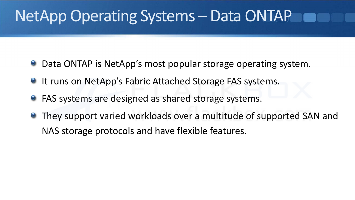# NetApp Operating Systems – Data ONTAP

- Data ONTAP is NetApp's most popular storage operating system.  $\bullet$
- <sup>o</sup> It runs on NetApp's Fabric Attached Storage FAS systems.
- **FAS systems are designed as shared storage systems.**
- **They support varied workloads over a multitude of supported SAN and** NAS storage protocols and have flexible features.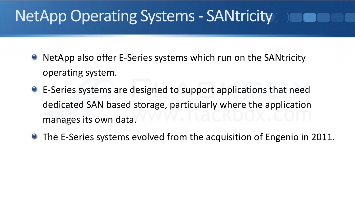# NetApp Operating Systems ‐ SANtricity

- NetApp also offer E‐Series systems which run on the SANtricity operating system.
- E-Series systems are designed to support applications that need dedicated SAN based storage, particularly where the application manages its own data.
- The E-Series systems evolved from the acquisition of Engenio in 2011.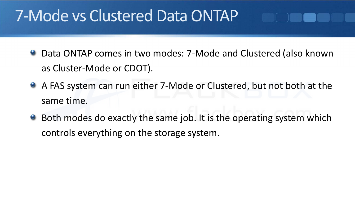### 7‐Mode vs Clustered Data ONTAP

- Data ONTAP comes in two modes: 7‐Mode and Clustered (also known as Cluster‐Mode or CDOT).
- A FAS system can run either 7-Mode or Clustered, but not both at the same time.
- Both modes do exactly the same job. It is the operating system which controls everything on the storage system.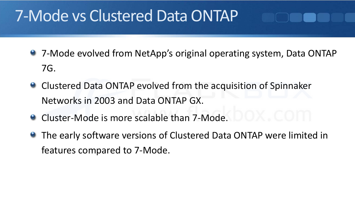### 7‐Mode vs Clustered Data ONTAP

- 7-Mode evolved from NetApp's original operating system, Data ONTAP 7G.
- **Clustered Data ONTAP evolved from the acquisition of Spinnaker** Networks in 2003 and Data ONTAP GX.
- Cluster-Mode is more scalable than 7-Mode.
- **The early software versions of Clustered Data ONTAP were limited in** features compared to 7‐Mode.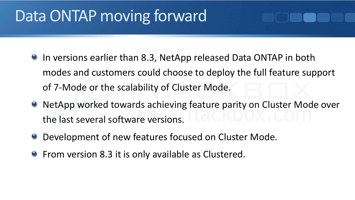## Data ONTAP moving forward

- **In versions earlier than 8.3, NetApp released Data ONTAP in both** modes and customers could choose to deploy the full feature support of 7‐Mode or the scalability of Cluster Mode.
- **NetApp worked towards achieving feature parity on Cluster Mode over** the last several software versions.
- **O** Development of new features focused on Cluster Mode.
- **•** From version 8.3 it is only available as Clustered.